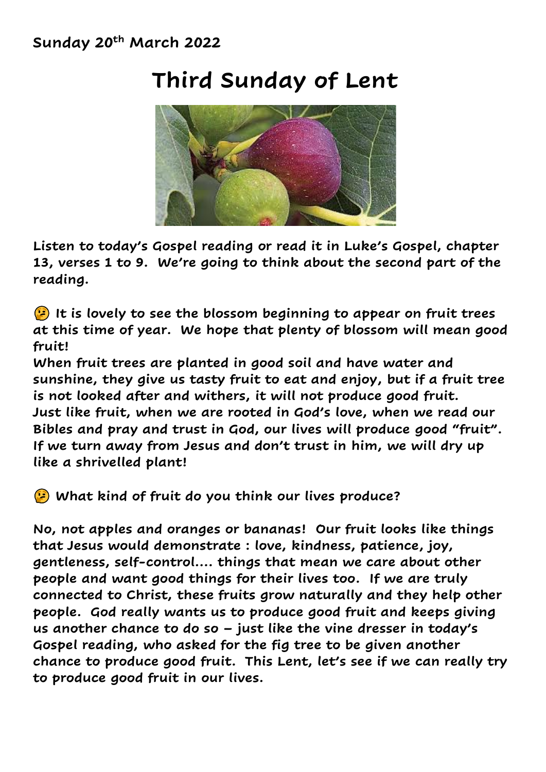#### **Sunday 20th March 2022**

### **Third Sunday of Lent**



**Listen to today's Gospel reading or read it in Luke's Gospel, chapter 13, verses 1 to 9. We're going to think about the second part of the reading.** 

 **It is lovely to see the blossom beginning to appear on fruit trees at this time of year. We hope that plenty of blossom will mean good fruit!**

**When fruit trees are planted in good soil and have water and sunshine, they give us tasty fruit to eat and enjoy, but if a fruit tree is not looked after and withers, it will not produce good fruit. Just like fruit, when we are rooted in God's love, when we read our Bibles and pray and trust in God, our lives will produce good "fruit". If we turn away from Jesus and don't trust in him, we will dry up like a shrivelled plant!**

**What kind of fruit do you think our lives produce?**

**No, not apples and oranges or bananas! Our fruit looks like things that Jesus would demonstrate : love, kindness, patience, joy, gentleness, self-control…. things that mean we care about other people and want good things for their lives too. If we are truly connected to Christ, these fruits grow naturally and they help other people. God really wants us to produce good fruit and keeps giving us another chance to do so – just like the vine dresser in today's Gospel reading, who asked for the fig tree to be given another chance to produce good fruit. This Lent, let's see if we can really try to produce good fruit in our lives.**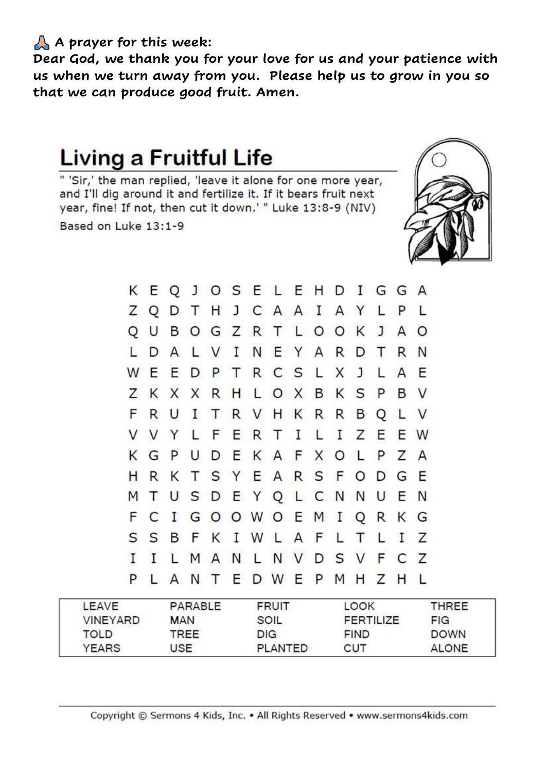#### **A prayer for this week:**

**Dear God, we thank you for your love for us and your patience with us when we turn away from you. Please help us to grow in you so that we can produce good fruit. Amen.** 

## **Living a Fruitful Life**

" 'Sir,' the man replied, 'leave it alone for one more year, and I'll dig around it and fertilize it. If it bears fruit next year, fine! If not, then cut it down.' " Luke 13:8-9 (NIV) Based on Luke 13:1-9



K E Q J O S E L E H D I G G A ZODTHJCAAIAYLPL O U B O G Z R T L O O K J A O L D A L V I N E Y A R D T R N WEEDPTRCSLXJLA E Z K X X R H L O X B K S P B **V** F R U I T R V H K R R B O L V VVYLF E R I  $\mathsf{L}$  $\mathbf I$ Z E E  $T$ W G P U D E K A F X O L P Z K A H R K T S Y E A R S F O D G E MTUSDEYQLCNNUE N F C I G O O W O E M I O R K G  $\mathsf{S}$ S B F KIWLAFLTL  $\mathbf{I}$ 7 LMANLNV DSVF  $\mathsf{C}$ 7  $\mathbf{I}$ П P L ANTEDWEPMHZH -1.

| LEAVE           | PARABLE    | <b>FRUIT</b>   | LOOK             | THREE        |
|-----------------|------------|----------------|------------------|--------------|
| <b>VINEYARD</b> | <b>MAN</b> | SOIL           | <b>FERTILIZE</b> | FIG          |
| <b>TOLD</b>     | TREE       | <b>DIG</b>     | <b>FIND</b>      | <b>DOWN</b>  |
| <b>YEARS</b>    | USE.       | <b>PLANTED</b> | CUT              | <b>ALONE</b> |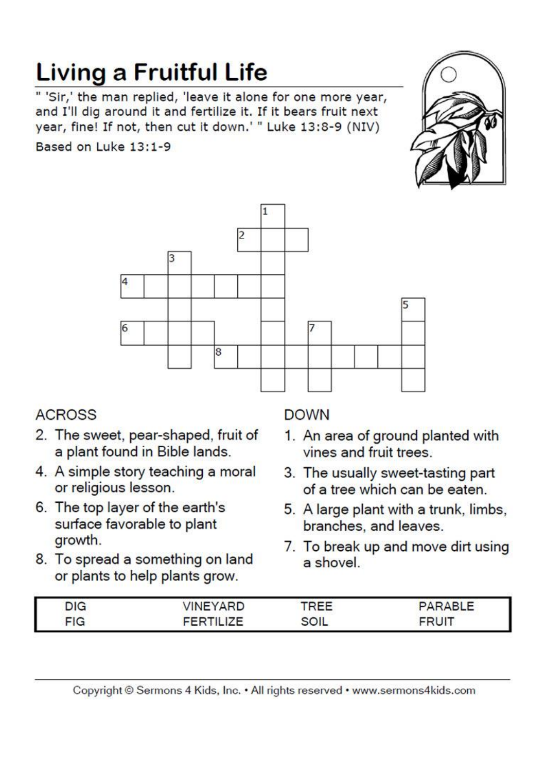# **Living a Fruitful Life**

" 'Sir,' the man replied, 'leave it alone for one more year, and I'll dig around it and fertilize it. If it bears fruit next year, fine! If not, then cut it down.' " Luke 13:8-9 (NIV)

Based on Luke 13:1-9





### **ACROSS**

- 2. The sweet, pear-shaped, fruit of a plant found in Bible lands.
- 4. A simple story teaching a moral or religious lesson.
- 6. The top layer of the earth's surface favorable to plant growth.
- 8. To spread a something on land or plants to help plants grow.

### **DOWN**

- 1. An area of ground planted with vines and fruit trees.
- 3. The usually sweet-tasting part of a tree which can be eaten.
- 5. A large plant with a trunk, limbs, branches, and leaves.
- 7. To break up and move dirt using a shovel

| DIC <sup>1</sup> | <b>INEYARD</b> |      | DAPIE |
|------------------|----------------|------|-------|
| <b>FIG</b>       |                | ווחף | - PI  |